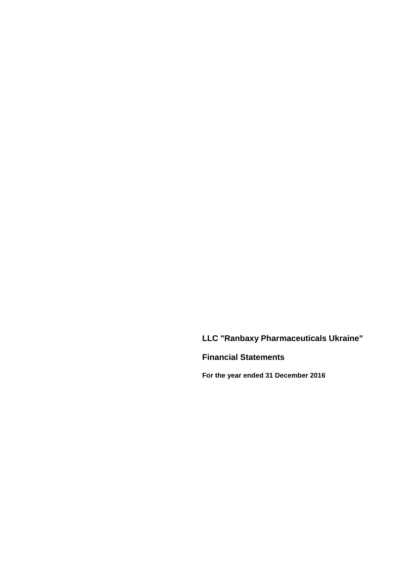**LLC "Ranbaxy Pharmaceuticals Ukraine"**

**Financial Statements**

**For the year ended 31 December 2016**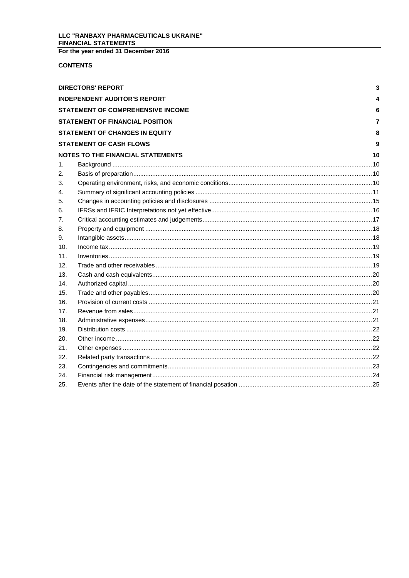## **CONTENTS**

|     | <b>DIRECTORS' REPORT</b>                 | 3  |
|-----|------------------------------------------|----|
|     | <b>INDEPENDENT AUDITOR'S REPORT</b>      | 4  |
|     | <b>STATEMENT OF COMPREHENSIVE INCOME</b> | 6  |
|     | <b>STATEMENT OF FINANCIAL POSITION</b>   | 7  |
|     | <b>STATEMENT OF CHANGES IN EQUITY</b>    | 8  |
|     | <b>STATEMENT OF CASH FLOWS</b>           | 9  |
|     | <b>NOTES TO THE FINANCIAL STATEMENTS</b> | 10 |
| 1.  |                                          |    |
| 2.  |                                          |    |
| 3.  |                                          |    |
| 4.  |                                          |    |
| 5.  |                                          |    |
| 6.  |                                          |    |
| 7.  |                                          |    |
| 8.  |                                          |    |
| 9.  |                                          |    |
| 10. |                                          |    |
| 11. |                                          |    |
| 12. |                                          |    |
| 13. |                                          |    |
| 14. |                                          |    |
| 15. |                                          |    |
| 16. |                                          |    |
| 17. |                                          |    |
| 18. |                                          |    |
| 19. |                                          |    |
| 20. |                                          |    |
| 21. |                                          |    |
| 22. |                                          |    |
| 23. |                                          |    |
| 24. |                                          |    |
| 25. |                                          |    |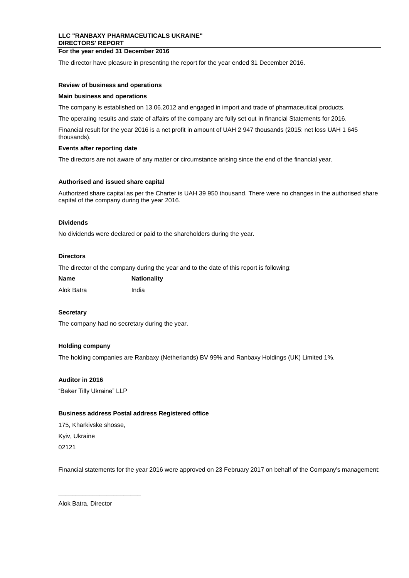## <span id="page-2-0"></span>**LLC "RANBAXY PHARMACEUTICALS UKRAINE" DIRECTORS' REPORT**

## **For the year ended 31 December 2016**

The director have pleasure in presenting the report for the year ended 31 December 2016.

#### **Review of business and operations**

#### **Main business and operations**

The company is established on 13.06.2012 and engaged in import and trade of pharmaceutical products.

The operating results and state of affairs of the company are fully set out in financial Statements for 2016.

Financial result for the year 2016 is a net profit in amount of UAH 2 947 thousands (2015: net loss UAH 1 645 thousands).

#### **Events after reporting date**

The directors are not aware of any matter or circumstance arising since the end of the financial year.

#### **Authorised and issued share capital**

Authorized share capital as per the Charter is UAH 39 950 thousand. There were no changes in the authorised share capital of the company during the year 2016.

## **Dividends**

No dividends were declared or paid to the shareholders during the year.

#### **Directors**

The director of the company during the year and to the date of this report is following:

| <b>Name</b> | <b>Nationality</b> |
|-------------|--------------------|
| Alok Batra  | India              |

#### **Secretary**

The company had no secretary during the year.

#### **Holding company**

The holding companies are Ranbaxy (Netherlands) BV 99% and Ranbaxy Holdings (UK) Limited 1%.

### **Auditor in 2016**

"Baker Tilly Ukraine" LLP

#### **Business address Postal address Registered office**

175, Kharkivske shosse, Kyiv, Ukraine 02121

Financial statements for the year 2016 were approved on 23 February 2017 on behalf of the Company's management:

Alok Batra, Director

\_\_\_\_\_\_\_\_\_\_\_\_\_\_\_\_\_\_\_\_\_\_\_\_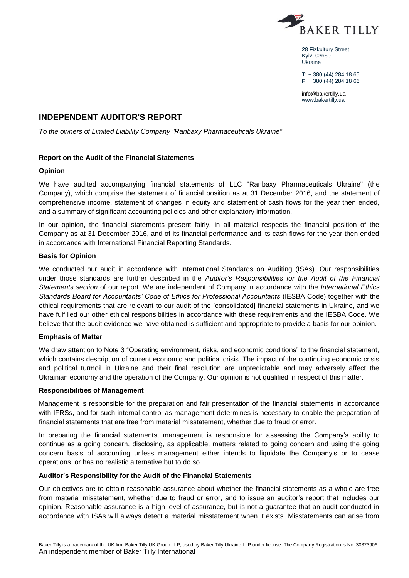

28 Fizkultury Street Kyiv, 03680 Ukraine

**T**: + 380 (44) 284 18 65 **F**: + 380 (44) 284 18 66

info@bakertilly.ua www.bakertilly.ua

## **INDEPENDENT AUDITOR'S REPORT**

*To the owners of Limited Liability Company "Ranbaxy Pharmaceuticals Ukraine"*

## **Report on the Audit of the Financial Statements**

## **Opinion**

We have audited accompanying financial statements of LLC "Ranbaxy Pharmaceuticals Ukraine" (the Company), which comprise the statement of financial position as at 31 December 2016, and the statement of comprehensive income, statement of changes in equity and statement of cash flows for the year then ended, and a summary of significant accounting policies and other explanatory information.

In our opinion, the financial statements present fairly, in all material respects the financial position of the Company as at 31 December 2016, and of its financial performance and its cash flows for the year then ended in accordance with International Financial Reporting Standards*.*

## **Basis for Opinion**

We conducted our audit in accordance with International Standards on Auditing (ISAs). Our responsibilities under those standards are further described in the *Auditor's Responsibilities for the Audit of the Financial Statements section* of our report. We are independent of Company in accordance with the *International Ethics Standards Board for Accountants' Code of Ethics for Professional Accountants* (IESBA Code) together with the ethical requirements that are relevant to our audit of the [consolidated] financial statements in Ukraine, and we have fulfilled our other ethical responsibilities in accordance with these requirements and the IESBA Code. We believe that the audit evidence we have obtained is sufficient and appropriate to provide a basis for our opinion.

## **Emphasis of Matter**

We draw attention to Note 3 "Operating environment, risks, and economic conditions" to the financial statement, which contains description of current economic and political crisis. The impact of the continuing economic crisis and political turmoil in Ukraine and their final resolution are unpredictable and may adversely affect the Ukrainian economy and the operation of the Company. Our opinion is not qualified in respect of this matter.

## **Responsibilities of Management**

Management is responsible for the preparation and fair presentation of the financial statements in accordance with IFRSs, and for such internal control as management determines is necessary to enable the preparation of financial statements that are free from material misstatement, whether due to fraud or error.

In preparing the financial statements, management is responsible for assessing the Company's ability to continue as a going concern, disclosing, as applicable, matters related to going concern and using the going concern basis of accounting unless management either intends to liquidate the Company's or to cease operations, or has no realistic alternative but to do so.

## **Auditor's Responsibility for the Audit of the Financial Statements**

Our objectives are to obtain reasonable assurance about whether the financial statements as a whole are free from material misstatement, whether due to fraud or error, and to issue an auditor's report that includes our opinion. Reasonable assurance is a high level of assurance, but is not a guarantee that an audit conducted in accordance with ISAs will always detect a material misstatement when it exists. Misstatements can arise from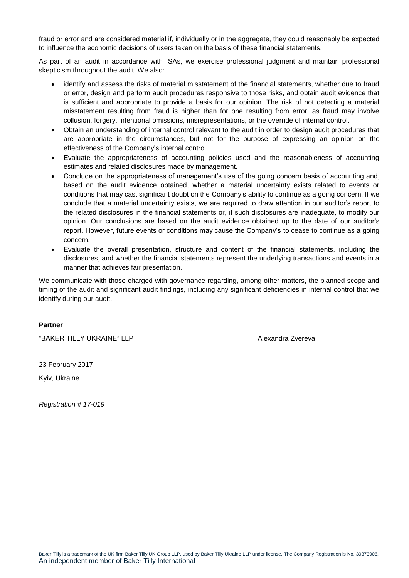fraud or error and are considered material if, individually or in the aggregate, they could reasonably be expected to influence the economic decisions of users taken on the basis of these financial statements.

As part of an audit in accordance with ISAs, we exercise professional judgment and maintain professional skepticism throughout the audit. We also:

- identify and assess the risks of material misstatement of the financial statements, whether due to fraud or error, design and perform audit procedures responsive to those risks, and obtain audit evidence that is sufficient and appropriate to provide a basis for our opinion. The risk of not detecting a material misstatement resulting from fraud is higher than for one resulting from error, as fraud may involve collusion, forgery, intentional omissions, misrepresentations, or the override of internal control.
- Obtain an understanding of internal control relevant to the audit in order to design audit procedures that are appropriate in the circumstances, but not for the purpose of expressing an opinion on the effectiveness of the Company's internal control.
- Evaluate the appropriateness of accounting policies used and the reasonableness of accounting estimates and related disclosures made by management.
- Conclude on the appropriateness of management's use of the going concern basis of accounting and, based on the audit evidence obtained, whether a material uncertainty exists related to events or conditions that may cast significant doubt on the Company's ability to continue as a going concern. If we conclude that a material uncertainty exists, we are required to draw attention in our auditor's report to the related disclosures in the financial statements or, if such disclosures are inadequate, to modify our opinion. Our conclusions are based on the audit evidence obtained up to the date of our auditor's report. However, future events or conditions may cause the Company's to cease to continue as a going concern.
- Evaluate the overall presentation, structure and content of the financial statements, including the disclosures, and whether the financial statements represent the underlying transactions and events in a manner that achieves fair presentation.

We communicate with those charged with governance regarding, among other matters, the planned scope and timing of the audit and significant audit findings, including any significant deficiencies in internal control that we identify during our audit.

## **Partner**

"BAKER TILLY UKRAINE" LLP ALEXANDRE ALEXANDRE ALEXANDRE ALEXANDRE ALEXANDRE ALEXANDRE ANNO 1999

23 February 2017

Kyiv, Ukraine

*Registration # 17-019*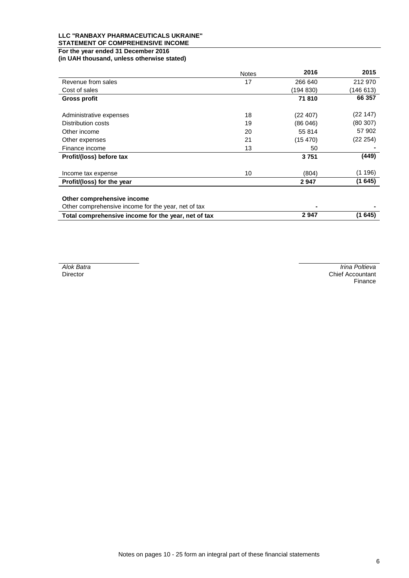## **LLC "RANBAXY PHARMACEUTICALS UKRAINE" STATEMENT OF COMPREHENSIVE INCOME**

# <span id="page-5-0"></span>**For the year ended 31 December 2016**

## **(in UAH thousand, unless otherwise stated)**

|                                                     | <b>Notes</b> | 2016      | 2015      |
|-----------------------------------------------------|--------------|-----------|-----------|
| Revenue from sales                                  | 17           | 266 640   | 212 970   |
| Cost of sales                                       |              | (194 830) | (146 613) |
| <b>Gross profit</b>                                 |              | 71810     | 66 357    |
|                                                     |              |           |           |
| Administrative expenses                             | 18           | (22 407)  | (22 147)  |
| Distribution costs                                  | 19           | (86046)   | (80 307)  |
| Other income                                        | 20           | 55 814    | 57 902    |
| Other expenses                                      | 21           | (15 470)  | (22 254)  |
| Finance income                                      | 13           | 50        |           |
| Profit/(loss) before tax                            |              | 3751      | (449)     |
| Income tax expense                                  | 10           | (804)     | (1196)    |
| Profit/(loss) for the year                          |              | 2947      | (1645)    |
|                                                     |              |           |           |
| Other comprehensive income                          |              |           |           |
| Other comprehensive income for the year, net of tax |              |           |           |
| Total comprehensive income for the year, net of tax |              | 2947      | (1645)    |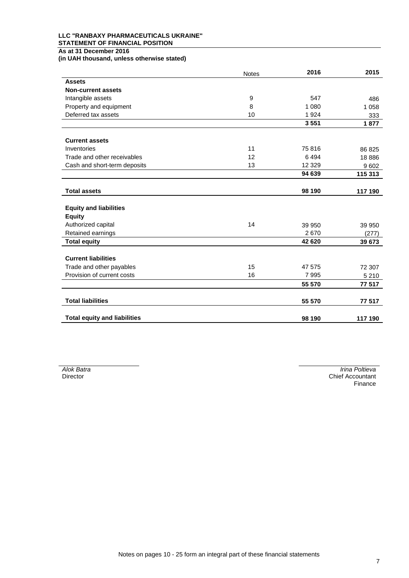## **LLC "RANBAXY PHARMACEUTICALS UKRAINE" STATEMENT OF FINANCIAL POSITION**

## <span id="page-6-0"></span>**As at 31 December 2016**

**(in UAH thousand, unless otherwise stated)**

|    |         | 2015                    |
|----|---------|-------------------------|
|    |         |                         |
|    |         |                         |
| 9  | 547     | 486                     |
| 8  | 1 0 8 0 | 1 0 5 8                 |
| 10 | 1924    | 333                     |
|    | 3551    | 1877                    |
|    |         |                         |
|    |         |                         |
| 11 | 75816   | 86 825                  |
| 12 | 6494    | 18886                   |
| 13 | 12 3 29 | 9602                    |
|    | 94 639  | 115 313                 |
|    |         |                         |
|    | 98 190  | 117 190                 |
|    |         |                         |
|    |         |                         |
|    |         |                         |
| 14 | 39 950  | 39 950                  |
|    | 2670    | (277)                   |
|    | 42 620  | 39 673                  |
|    |         |                         |
|    |         |                         |
| 15 | 47 575  | 72 307                  |
| 16 | 7995    | 5 2 1 0                 |
|    | 55 570  | 77 517                  |
|    |         |                         |
|    | 55 570  | 77 517                  |
|    |         | 117 190                 |
|    |         | 2016<br>Notes<br>98 190 |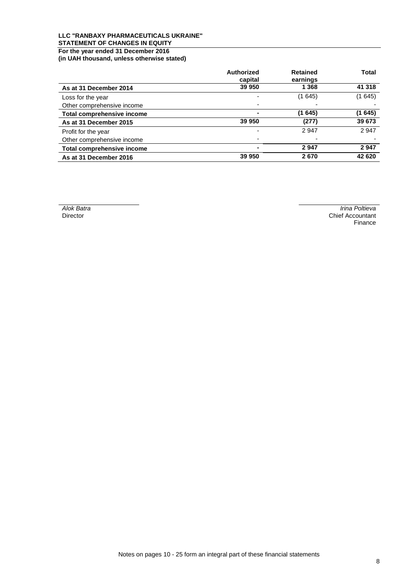## **LLC "RANBAXY PHARMACEUTICALS UKRAINE" STATEMENT OF CHANGES IN EQUITY**

<span id="page-7-0"></span>**For the year ended 31 December 2016**

**(in UAH thousand, unless otherwise stated)**

|                                   | Authorized<br>capital | <b>Retained</b><br>earnings | Total   |
|-----------------------------------|-----------------------|-----------------------------|---------|
| As at 31 December 2014            | 39 950                | 1 3 6 8                     | 41 318  |
| Loss for the year                 | ۰                     | (1645)                      | (1 645) |
| Other comprehensive income        | ٠                     |                             |         |
| Total comprehensive income        | $\blacksquare$        | (1645)                      | (1645)  |
| As at 31 December 2015            | 39 950                | (277)                       | 39 673  |
| Profit for the year               | -                     | 2947                        | 2947    |
| Other comprehensive income        | -                     |                             |         |
| <b>Total comprehensive income</b> | $\blacksquare$        | 2947                        | 2947    |
| As at 31 December 2016            | 39 950                | 2670                        | 42 620  |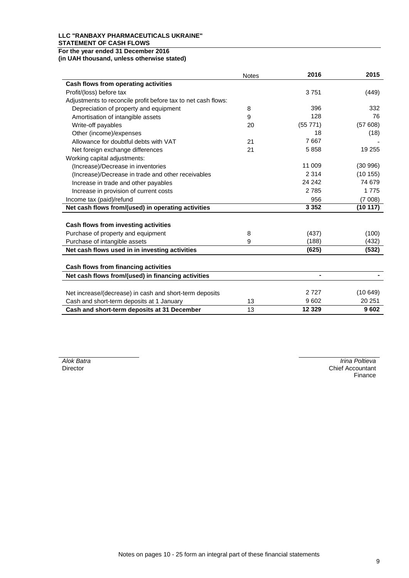## **LLC "RANBAXY PHARMACEUTICALS UKRAINE" STATEMENT OF CASH FLOWS**

<span id="page-8-0"></span>**For the year ended 31 December 2016**

**(in UAH thousand, unless otherwise stated)**

|                                                               | <b>Notes</b> | 2016           | 2015    |
|---------------------------------------------------------------|--------------|----------------|---------|
| Cash flows from operating activities                          |              |                |         |
| Profit/(loss) before tax                                      |              | 3751           | (449)   |
| Adjustments to reconcile profit before tax to net cash flows: |              |                |         |
| Depreciation of property and equipment                        | 8            | 396            | 332     |
| Amortisation of intangible assets                             | 9            | 128            | 76      |
| Write-off payables                                            | 20           | (55 771)       | (57608) |
| Other (income)/expenses                                       |              | 18             | (18)    |
| Allowance for doubtful debts with VAT                         | 21           | 7667           |         |
| Net foreign exchange differences                              | 21           | 5858           | 19 255  |
| Working capital adjustments:                                  |              |                |         |
| (Increase)/Decrease in inventories                            |              | 11 009         | (3096)  |
| (Increase)/Decrease in trade and other receivables            |              | 2 3 1 4        | (10155) |
| Increase in trade and other payables                          |              | 24 24 2        | 74 679  |
| Increase in provision of current costs                        |              | 2785           | 1775    |
| Income tax (paid)/refund                                      |              | 956            | (7008)  |
| Net cash flows from/(used) in operating activities            |              | 3 3 5 2        | (10117) |
|                                                               |              |                |         |
| Cash flows from investing activities                          |              |                |         |
| Purchase of property and equipment                            | 8            | (437)          | (100)   |
| Purchase of intangible assets                                 | 9            | (188)          | (432)   |
| Net cash flows used in in investing activities                |              | (625)          | (532)   |
|                                                               |              |                |         |
| Cash flows from financing activities                          |              |                |         |
| Net cash flows from/(used) in financing activities            |              | $\blacksquare$ |         |
|                                                               |              |                |         |
| Net increase/(decrease) in cash and short-term deposits       |              | 2727           | (10649) |
| Cash and short-term deposits at 1 January                     | 13           | 9602           | 20 251  |
| Cash and short-term deposits at 31 December                   | 13           | 12 3 29        | 9602    |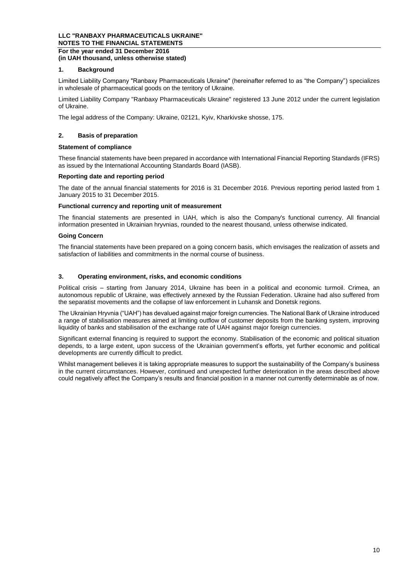<span id="page-9-0"></span>**For the year ended 31 December 2016**

## **(in UAH thousand, unless otherwise stated)**

## <span id="page-9-1"></span>**1. Background**

Limited Liability Company "Ranbaxy Pharmaceuticals Ukraine" (hereinafter referred to as "the Company") specializes in wholesale of pharmaceutical goods on the territory of Ukraine.

Limited Liability Company "Ranbaxy Pharmaceuticals Ukraine" registered 13 June 2012 under the current legislation of Ukraine.

The legal address of the Company: Ukraine, 02121, Kyiv, Kharkivske shosse, 175.

## <span id="page-9-2"></span>**2. Basis of preparation**

#### **Statement of compliance**

These financial statements have been prepared in accordance with International Financial Reporting Standards (IFRS) as issued by the International Accounting Standards Board (IASB).

#### **Reporting date and reporting period**

The date of the annual financial statements for 2016 is 31 December 2016. Previous reporting period lasted from 1 January 2015 to 31 December 2015.

#### **Functional currency and reporting unit of measurement**

The financial statements are presented in UAH, which is also the Company's functional currency. All financial information presented in Ukrainian hryvnias, rounded to the nearest thousand, unless otherwise indicated.

#### **Going Concern**

The financial statements have been prepared on a going concern basis, which envisages the realization of assets and satisfaction of liabilities and commitments in the normal course of business.

#### <span id="page-9-3"></span>**3. Operating environment, risks, and economic conditions**

Political crisis – starting from January 2014, Ukraine has been in a political and economic turmoil. Crimea, an autonomous republic of Ukraine, was effectively annexed by the Russian Federation. Ukraine had also suffered from the separatist movements and the collapse of law enforcement in Luhansk and Donetsk regions.

The Ukrainian Hryvnia ("UAH") has devalued against major foreign currencies. The National Bank of Ukraine introduced a range of stabilisation measures aimed at limiting outflow of customer deposits from the banking system, improving liquidity of banks and stabilisation of the exchange rate of UAH against major foreign currencies.

Significant external financing is required to support the economy. Stabilisation of the economic and political situation depends, to a large extent, upon success of the Ukrainian government's efforts, yet further economic and political developments are currently difficult to predict.

Whilst management believes it is taking appropriate measures to support the sustainability of the Company's business in the current circumstances. However, continued and unexpected further deterioration in the areas described above could negatively affect the Company's results and financial position in a manner not currently determinable as of now.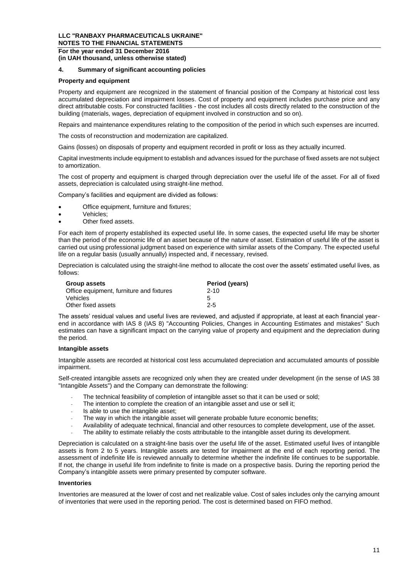## **For the year ended 31 December 2016**

## **(in UAH thousand, unless otherwise stated)**

## <span id="page-10-0"></span>**4. Summary of significant accounting policies**

#### **Property and equipment**

Property and equipment are recognized in the statement of financial position of the Company at historical cost less accumulated depreciation and impairment losses. Cost of property and equipment includes purchase price and any direct attributable costs. For constructed facilities - the cost includes all costs directly related to the construction of the building (materials, wages, depreciation of equipment involved in construction and so on).

Repairs and maintenance expenditures relating to the composition of the period in which such expenses are incurred.

The costs of reconstruction and modernization are capitalized.

Gains (losses) on disposals of property and equipment recorded in profit or loss as they actually incurred.

Capital investments include equipment to establish and advances issued for the purchase of fixed assets are not subject to amortization.

The cost of property and equipment is charged through depreciation over the useful life of the asset. For all of fixed assets, depreciation is calculated using straight-line method.

Company's facilities and equipment are divided as follows:

- Office equipment, furniture and fixtures;
- Vehicles;
- Other fixed assets.

For each item of property established its expected useful life. In some cases, the expected useful life may be shorter than the period of the economic life of an asset because of the nature of asset. Estimation of useful life of the asset is carried out using professional judgment based on experience with similar assets of the Company. The expected useful life on a regular basis (usually annually) inspected and, if necessary, revised.

Depreciation is calculated using the straight-line method to allocate the cost over the assets' estimated useful lives, as follows:

| Group assets                             | Period (years) |
|------------------------------------------|----------------|
| Office equipment, furniture and fixtures | $2 - 10$       |
| Vehicles                                 | 5              |
| Other fixed assets                       | $2 - 5$        |

The assets' residual values and useful lives are reviewed, and adjusted if appropriate, at least at each financial yearend in accordance with IAS 8 (IAS 8) "Accounting Policies, Changes in Accounting Estimates and mistakes" Such estimates can have a significant impact on the carrying value of property and equipment and the depreciation during the period.

#### **Intangible assets**

Intangible assets are recorded at historical cost less accumulated depreciation and accumulated amounts of possible impairment.

Self-created intangible assets are recognized only when they are created under development (in the sense of IAS 38 "Intangible Assets") and the Company can demonstrate the following:

- The technical feasibility of completion of intangible asset so that it can be used or sold;
- The intention to complete the creation of an intangible asset and use or sell it;
- Is able to use the intangible asset:
- The way in which the intangible asset will generate probable future economic benefits;
- Availability of adequate technical, financial and other resources to complete development, use of the asset.
	- The ability to estimate reliably the costs attributable to the intangible asset during its development.

Depreciation is calculated on a straight-line basis over the useful life of the asset. Estimated useful lives of intangible assets is from 2 to 5 years. Intangible assets are tested for impairment at the end of each reporting period. The assessment of indefinite life is reviewed annually to determine whether the indefinite life continues to be supportable. If not, the change in useful life from indefinite to finite is made on a prospective basis. During the reporting period the Company's intangible assets were primary presented by computer software.

#### **Inventories**

Inventories are measured at the lower of cost and net realizable value. Cost of sales includes only the carrying amount of inventories that were used in the reporting period. The cost is determined based on FIFO method.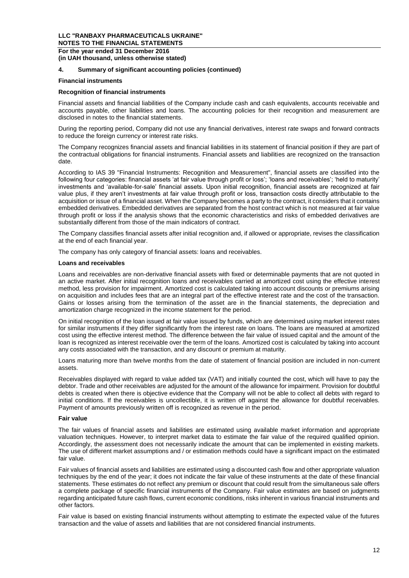**For the year ended 31 December 2016 (in UAH thousand, unless otherwise stated)**

### **4. Summary of significant accounting policies (continued)**

#### **Financial instruments**

#### **Recognition of financial instruments**

Financial assets and financial liabilities of the Company include cash and cash equivalents, accounts receivable and accounts payable, other liabilities and loans. The accounting policies for their recognition and measurement are disclosed in notes to the financial statements.

During the reporting period, Company did not use any financial derivatives, interest rate swaps and forward contracts to reduce the foreign currency or interest rate risks.

The Company recognizes financial assets and financial liabilities in its statement of financial position if they are part of the contractual obligations for financial instruments. Financial assets and liabilities are recognized on the transaction date.

According to IAS 39 "Financial Instruments: Recognition and Measurement", financial assets are classified into the following four categories: financial assets 'at fair value through profit or loss'; 'loans and receivables'; 'held to maturity' investments and 'available-for-sale' financial assets. Upon initial recognition, financial assets are recognized at fair value plus, if they aren't investments at fair value through profit or loss, transaction costs directly attributable to the acquisition or issue of a financial asset. When the Company becomes a party to the contract, it considers that it contains embedded derivatives. Embedded derivatives are separated from the host contract which is not measured at fair value through profit or loss if the analysis shows that the economic characteristics and risks of embedded derivatives are substantially different from those of the main indicators of contract.

The Company classifies financial assets after initial recognition and, if allowed or appropriate, revises the classification at the end of each financial year.

The company has only category of financial assets: loans and receivables.

#### **Loans and receivables**

Loans and receivables are non-derivative financial assets with fixed or determinable payments that are not quoted in an active market. After initial recognition loans and receivables carried at amortized cost using the effective interest method, less provision for impairment. Amortized cost is calculated taking into account discounts or premiums arising on acquisition and includes fees that are an integral part of the effective interest rate and the cost of the transaction. Gains or losses arising from the termination of the asset are in the financial statements, the depreciation and amortization charge recognized in the income statement for the period.

On initial recognition of the loan issued at fair value issued by funds, which are determined using market interest rates for similar instruments if they differ significantly from the interest rate on loans. The loans are measured at amortized cost using the effective interest method. The difference between the fair value of issued capital and the amount of the loan is recognized as interest receivable over the term of the loans. Amortized cost is calculated by taking into account any costs associated with the transaction, and any discount or premium at maturity.

Loans maturing more than twelve months from the date of statement of financial position are included in non-current assets.

Receivables displayed with regard to value added tax (VAT) and initially counted the cost, which will have to pay the debtor. Trade and other receivables are adjusted for the amount of the allowance for impairment. Provision for doubtful debts is created when there is objective evidence that the Company will not be able to collect all debts with regard to initial conditions. If the receivables is uncollectible, it is written off against the allowance for doubtful receivables. Payment of amounts previously written off is recognized as revenue in the period.

### **Fair value**

The fair values of financial assets and liabilities are estimated using available market information and appropriate valuation techniques. However, to interpret market data to estimate the fair value of the required qualified opinion. Accordingly, the assessment does not necessarily indicate the amount that can be implemented in existing markets. The use of different market assumptions and / or estimation methods could have a significant impact on the estimated fair value.

Fair values of financial assets and liabilities are estimated using a discounted cash flow and other appropriate valuation techniques by the end of the year; it does not indicate the fair value of these instruments at the date of these financial statements. These estimates do not reflect any premium or discount that could result from the simultaneous sale offers a complete package of specific financial instruments of the Company. Fair value estimates are based on judgments regarding anticipated future cash flows, current economic conditions, risks inherent in various financial instruments and other factors.

Fair value is based on existing financial instruments without attempting to estimate the expected value of the futures transaction and the value of assets and liabilities that are not considered financial instruments.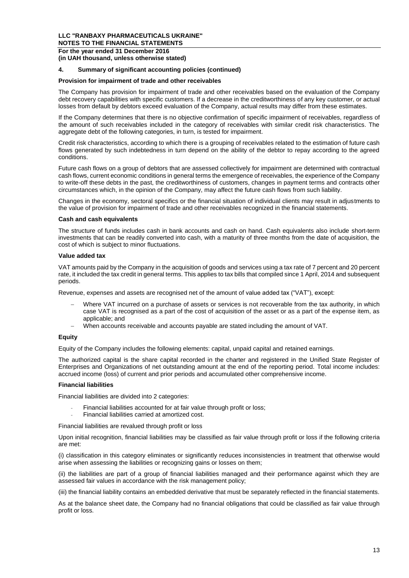## **For the year ended 31 December 2016**

**(in UAH thousand, unless otherwise stated)**

## **4. Summary of significant accounting policies (continued)**

#### **Provision for impairment of trade and other receivables**

The Company has provision for impairment of trade and other receivables based on the evaluation of the Company debt recovery capabilities with specific customers. If a decrease in the creditworthiness of any key customer, or actual losses from default by debtors exceed evaluation of the Company, actual results may differ from these estimates.

If the Company determines that there is no objective confirmation of specific impairment of receivables, regardless of the amount of such receivables included in the category of receivables with similar credit risk characteristics. The aggregate debt of the following categories, in turn, is tested for impairment.

Credit risk characteristics, according to which there is a grouping of receivables related to the estimation of future cash flows generated by such indebtedness in turn depend on the ability of the debtor to repay according to the agreed conditions.

Future cash flows on a group of debtors that are assessed collectively for impairment are determined with contractual cash flows, current economic conditions in general terms the emergence of receivables, the experience of the Company to write-off these debts in the past, the creditworthiness of customers, changes in payment terms and contracts other circumstances which, in the opinion of the Company, may affect the future cash flows from such liability.

Changes in the economy, sectoral specifics or the financial situation of individual clients may result in adjustments to the value of provision for impairment of trade and other receivables recognized in the financial statements.

#### **Cash and cash equivalents**

The structure of funds includes cash in bank accounts and cash on hand. Cash equivalents also include short-term investments that can be readily converted into cash, with a maturity of three months from the date of acquisition, the cost of which is subject to minor fluctuations.

#### **Value added tax**

VAT amounts paid by the Company in the acquisition of goods and services using a tax rate of 7 percent and 20 percent rate, it included the tax credit in general terms. This applies to tax bills that compiled since 1 April, 2014 and subsequent periods.

Revenue, expenses and assets are recognised net of the amount of value added tax ("VAT"), except:

- Where VAT incurred on a purchase of assets or services is not recoverable from the tax authority, in which case VAT is recognised as a part of the cost of acquisition of the asset or as a part of the expense item, as applicable; and
- When accounts receivable and accounts payable are stated including the amount of VAT.

#### **Equity**

Equity of the Company includes the following elements: capital, unpaid capital and retained earnings.

The authorized capital is the share capital recorded in the charter and registered in the Unified State Register of Enterprises and Organizations of net outstanding amount at the end of the reporting period. Total income includes: accrued income (loss) of current and prior periods and accumulated other comprehensive income.

#### **Financial liabilities**

Financial liabilities are divided into 2 categories:

- Financial liabilities accounted for at fair value through profit or loss;
- Financial liabilities carried at amortized cost.

Financial liabilities are revalued through profit or loss

Upon initial recognition, financial liabilities may be classified as fair value through profit or loss if the following criteria are met:

(i) classification in this category eliminates or significantly reduces inconsistencies in treatment that otherwise would arise when assessing the liabilities or recognizing gains or losses on them;

(ii) the liabilities are part of a group of financial liabilities managed and their performance against which they are assessed fair values in accordance with the risk management policy;

(iii) the financial liability contains an embedded derivative that must be separately reflected in the financial statements.

As at the balance sheet date, the Company had no financial obligations that could be classified as fair value through profit or loss.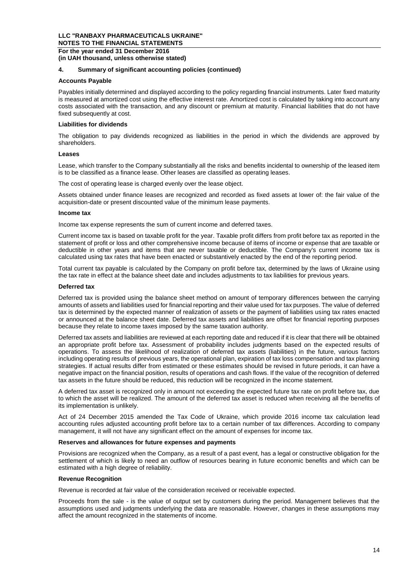## **For the year ended 31 December 2016**

**(in UAH thousand, unless otherwise stated)**

## **4. Summary of significant accounting policies (continued)**

#### **Accounts Payable**

Payables initially determined and displayed according to the policy regarding financial instruments. Later fixed maturity is measured at amortized cost using the effective interest rate. Amortized cost is calculated by taking into account any costs associated with the transaction, and any discount or premium at maturity. Financial liabilities that do not have fixed subsequently at cost.

## **Liabilities for dividends**

The obligation to pay dividends recognized as liabilities in the period in which the dividends are approved by shareholders.

#### **Leases**

Lease, which transfer to the Company substantially all the risks and benefits incidental to ownership of the leased item is to be classified as a finance lease. Other leases are classified as operating leases.

The cost of operating lease is charged evenly over the lease object.

Assets obtained under finance leases are recognized and recorded as fixed assets at lower of: the fair value of the acquisition-date or present discounted value of the minimum lease payments.

#### **Income tax**

Income tax expense represents the sum of current income and deferred taxes.

Current income tax is based on taxable profit for the year. Taxable profit differs from profit before tax as reported in the statement of profit or loss and other comprehensive income because of items of income or expense that are taxable or deductible in other years and items that are never taxable or deductible. The Company's current income tax is calculated using tax rates that have been enacted or substantively enacted by the end of the reporting period.

Total current tax payable is calculated by the Company on profit before tax, determined by the laws of Ukraine using the tax rate in effect at the balance sheet date and includes adjustments to tax liabilities for previous years.

#### **Deferred tax**

Deferred tax is provided using the balance sheet method on amount of temporary differences between the carrying amounts of assets and liabilities used for financial reporting and their value used for tax purposes. The value of deferred tax is determined by the expected manner of realization of assets or the payment of liabilities using tax rates enacted or announced at the balance sheet date. Deferred tax assets and liabilities are offset for financial reporting purposes because they relate to income taxes imposed by the same taxation authority.

Deferred tax assets and liabilities are reviewed at each reporting date and reduced if it is clear that there will be obtained an appropriate profit before tax. Assessment of probability includes judgments based on the expected results of operations. To assess the likelihood of realization of deferred tax assets (liabilities) in the future, various factors including operating results of previous years, the operational plan, expiration of tax loss compensation and tax planning strategies. If actual results differ from estimated or these estimates should be revised in future periods, it can have a negative impact on the financial position, results of operations and cash flows. If the value of the recognition of deferred tax assets in the future should be reduced, this reduction will be recognized in the income statement.

A deferred tax asset is recognized only in amount not exceeding the expected future tax rate on profit before tax, due to which the asset will be realized. The amount of the deferred tax asset is reduced when receiving all the benefits of its implementation is unlikely.

Act of 24 December 2015 amended the Tax Code of Ukraine, which provide 2016 income tax calculation lead accounting rules adjusted accounting profit before tax to a certain number of tax differences. According to company management, it will not have any significant effect on the amount of expenses for income tax.

#### **Reserves and allowances for future expenses and payments**

Provisions are recognized when the Company, as a result of a past event, has a legal or constructive obligation for the settlement of which is likely to need an outflow of resources bearing in future economic benefits and which can be estimated with a high degree of reliability.

#### **Revenue Recognition**

Revenue is recorded at fair value of the consideration received or receivable expected.

Proceeds from the sale - is the value of output set by customers during the period. Management believes that the assumptions used and judgments underlying the data are reasonable. However, changes in these assumptions may affect the amount recognized in the statements of income.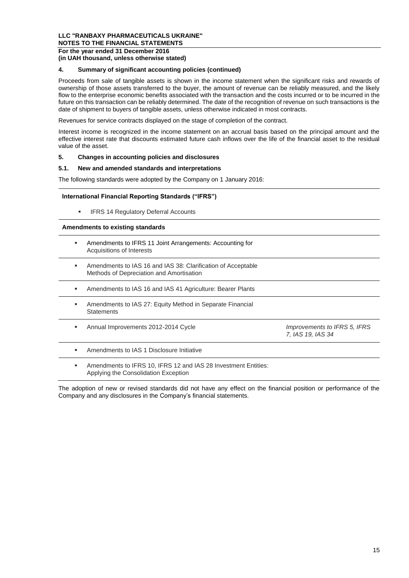## **For the year ended 31 December 2016**

**(in UAH thousand, unless otherwise stated)**

## **4. Summary of significant accounting policies (continued)**

Proceeds from sale of tangible assets is shown in the income statement when the significant risks and rewards of ownership of those assets transferred to the buyer, the amount of revenue can be reliably measured, and the likely flow to the enterprise economic benefits associated with the transaction and the costs incurred or to be incurred in the future on this transaction can be reliably determined. The date of the recognition of revenue on such transactions is the date of shipment to buyers of tangible assets, unless otherwise indicated in most contracts.

Revenues for service contracts displayed on the stage of completion of the contract.

Interest income is recognized in the income statement on an accrual basis based on the principal amount and the effective interest rate that discounts estimated future cash inflows over the life of the financial asset to the residual value of the asset.

## <span id="page-14-0"></span>**5. Changes in accounting policies and disclosures**

## **5.1. New and amended standards and interpretations**

The following standards were adopted by the Company on 1 January 2016:

## **International Financial Reporting Standards ("IFRS")**

IFRS 14 Regulatory Deferral Accounts

#### **Amendments to existing standards**

- Amendments to IFRS 11 Joint Arrangements: Accounting for Acquisitions of Interests
- Amendments to IAS 16 and IAS 38: Clarification of Acceptable Methods of Depreciation and Amortisation
- Amendments to IAS 16 and IAS 41 Agriculture: Bearer Plants
	- Amendments to IAS 27: Equity Method in Separate Financial **Statements**
	- Annual Improvements 2012-2014 Cycle *Improvements to IFRS 5, IFRS*

*7, IAS 19, IAS 34*

- **Amendments to IAS 1 Disclosure Initiative**
- Amendments to IFRS 10, IFRS 12 and IAS 28 Investment Entities: Applying the Consolidation Exception

The adoption of new or revised standards did not have any effect on the financial position or performance of the Company and any disclosures in the Company's financial statements.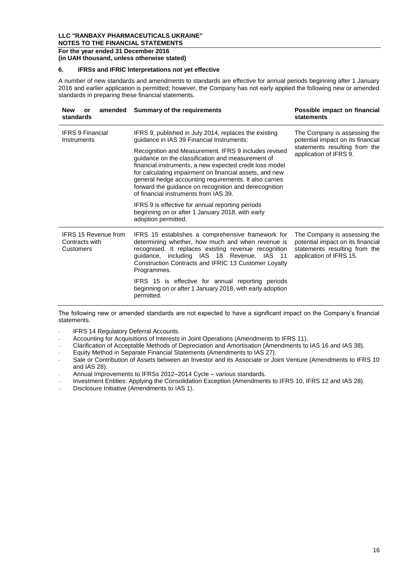## **For the year ended 31 December 2016**

**(in UAH thousand, unless otherwise stated)**

## <span id="page-15-0"></span>**6. IFRSs and IFRIC Interpretations not yet effective**

A number of new standards and amendments to standards are effective for annual periods beginning after 1 January 2016 and earlier application is permitted; however, the Company has not early applied the following new or amended standards in preparing these financial statements.

| amended<br><b>New</b><br>or<br>standards                   | <b>Summary of the requirements</b>                                                                                                                                                                                                                                                                                                                                                          | Possible impact on financial<br>statements                                                                                    |  |
|------------------------------------------------------------|---------------------------------------------------------------------------------------------------------------------------------------------------------------------------------------------------------------------------------------------------------------------------------------------------------------------------------------------------------------------------------------------|-------------------------------------------------------------------------------------------------------------------------------|--|
| <b>IFRS 9 Financial</b><br>Instruments                     | IFRS 9, published in July 2014, replaces the existing<br>guidance in IAS 39 Financial Instruments:                                                                                                                                                                                                                                                                                          | The Company is assessing the<br>potential impact on its financial                                                             |  |
|                                                            | Recognition and Measurement. IFRS 9 includes revised<br>guidance on the classification and measurement of<br>financial instruments, a new expected credit loss model<br>for calculating impairment on financial assets, and new<br>general hedge accounting requirements. It also carries<br>forward the guidance on recognition and derecognition<br>of financial instruments from IAS 39. | statements resulting from the<br>application of IFRS 9.                                                                       |  |
|                                                            | IFRS 9 is effective for annual reporting periods<br>beginning on or after 1 January 2018, with early<br>adoption permitted.                                                                                                                                                                                                                                                                 |                                                                                                                               |  |
| <b>IFRS 15 Revenue from</b><br>Contracts with<br>Customers | IFRS 15 establishes a comprehensive framework for<br>determining whether, how much and when revenue is<br>recognised. It replaces existing revenue recognition<br>guidance, including IAS 18 Revenue, IAS 11<br>Construction Contracts and IFRIC 13 Customer Loyalty<br>Programmes.                                                                                                         | The Company is assessing the<br>potential impact on its financial<br>statements resulting from the<br>application of IFRS 15. |  |
|                                                            | IFRS 15 is effective for annual reporting periods<br>beginning on or after 1 January 2018, with early adoption<br>permitted.                                                                                                                                                                                                                                                                |                                                                                                                               |  |

The following new or amended standards are not expected to have a significant impact on the Company's financial statements.

- IFRS 14 Regulatory Deferral Accounts.
- Accounting for Acquisitions of Interests in Joint Operations (Amendments to IFRS 11).
- Clarification of Acceptable Methods of Depreciation and Amortisation (Amendments to IAS 16 and IAS 38).
- Equity Method in Separate Financial Statements (Amendments to IAS 27).
- Sale or Contribution of Assets between an Investor and its Associate or Joint Venture (Amendments to IFRS 10 and IAS 28).
- Annual Improvements to IFRSs 2012–2014 Cycle various standards.
- Investment Entities: Applying the Consolidation Exception (Amendments to IFRS 10, IFRS 12 and IAS 28).
- Disclosure Initiative (Amendments to IAS 1).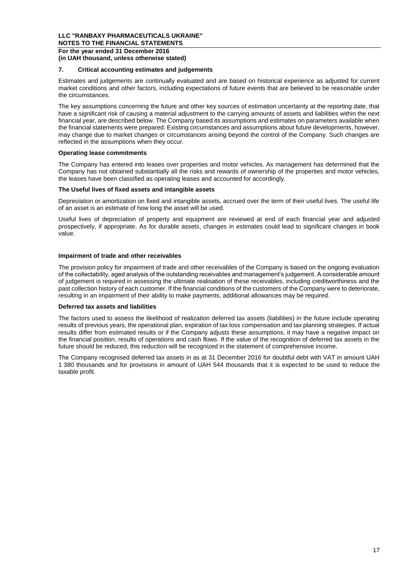**For the year ended 31 December 2016**

**(in UAH thousand, unless otherwise stated)**

## <span id="page-16-0"></span>**7. Critical accounting estimates and judgements**

Estimates and judgements are continually evaluated and are based on historical experience as adjusted for current market conditions and other factors, including expectations of future events that are believed to be reasonable under the circumstances.

The key assumptions concerning the future and other key sources of estimation uncertainty at the reporting date, that have a significant risk of causing a material adjustment to the carrying amounts of assets and liabilities within the next financial year, are described below. The Company based its assumptions and estimates on parameters available when the financial statements were prepared. Existing circumstances and assumptions about future developments, however, may change due to market changes or circumstances arising beyond the control of the Company. Such changes are reflected in the assumptions when they occur.

## **Operating lease commitments**

The Company has entered into leases over properties and motor vehicles. As management has determined that the Company has not obtained substantially all the risks and rewards of ownership of the properties and motor vehicles, the leases have been classified as operating leases and accounted for accordingly.

## **The Useful lives of fixed assets and intangible assets**

Depreciation or amortization on fixed and intangible assets, accrued over the term of their useful lives. The useful life of an asset is an estimate of how long the asset will be used.

Useful lives of depreciation of property and equipment are reviewed at end of each financial year and adjusted prospectively, if appropriate. As for durable assets, changes in estimates could lead to significant changes in book value.

## **Impairment of trade and other receivables**

The provision policy for impairment of trade and other receivables of the Company is based on the ongoing evaluation of the collectability, aged analysis of the outstanding receivables and management's judgement. A considerable amount of judgement is required in assessing the ultimate realisation of these receivables, including creditworthiness and the past collection history of each customer. If the financial conditions of the customers of the Company were to deteriorate, resulting in an impairment of their ability to make payments, additional allowances may be required.

#### **Deferred tax assets and liabilities**

The factors used to assess the likelihood of realization deferred tax assets (liabilities) in the future include operating results of previous years, the operational plan, expiration of tax loss compensation and tax planning strategies. If actual results differ from estimated results or if the Company adjusts these assumptions, it may have a negative impact on the financial position, results of operations and cash flows. If the value of the recognition of deferred tax assets in the future should be reduced, this reduction will be recognized in the statement of comprehensive income.

The Company recognised deferred tax assets in as at 31 December 2016 for doubtful debt with VAT in amount UAH 1 380 thousands and for provisions in amount of UAH 544 thousands that it is expected to be used to reduce the taxable profit.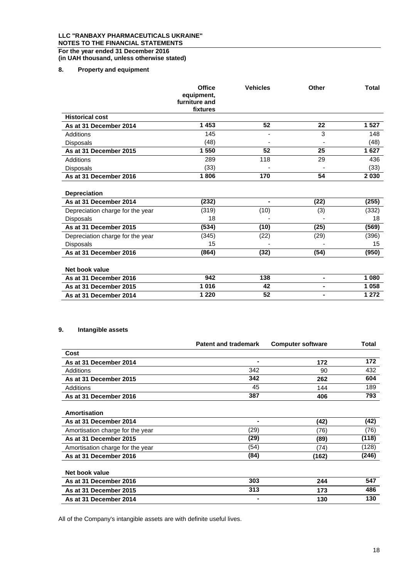**For the year ended 31 December 2016**

**(in UAH thousand, unless otherwise stated)**

## <span id="page-17-0"></span>**8. Property and equipment**

|                                                      | <b>Office</b><br>equipment,<br>furniture and<br>fixtures | <b>Vehicles</b> | Other                    | <b>Total</b> |
|------------------------------------------------------|----------------------------------------------------------|-----------------|--------------------------|--------------|
| <b>Historical cost</b>                               |                                                          |                 |                          |              |
| As at 31 December 2014                               | 1453                                                     | 52              | 22                       | 1527         |
| Additions                                            | 145                                                      |                 | 3                        | 148          |
| <b>Disposals</b>                                     | (48)                                                     |                 |                          | (48)         |
| As at 31 December 2015                               | 1550                                                     | 52              | 25                       | 1627         |
| Additions                                            | 289                                                      | 118             | 29                       | 436          |
| <b>Disposals</b>                                     | (33)                                                     |                 |                          | (33)         |
| As at 31 December 2016                               | 1806                                                     | 170             | 54                       | 2030         |
| <b>Depreciation</b><br>As at 31 December 2014        | (232)                                                    | $\blacksquare$  | (22)                     | (255)        |
|                                                      | (319)                                                    | (10)            | (3)                      | (332)        |
| Depreciation charge for the year<br><b>Disposals</b> | 18                                                       |                 |                          | 18           |
| As at 31 December 2015                               | (534)                                                    | (10)            | (25)                     | (569)        |
| Depreciation charge for the year                     | (345)                                                    | (22)            | (29)                     | (396)        |
| <b>Disposals</b>                                     | 15                                                       |                 |                          | 15           |
| As at 31 December 2016                               | (864)                                                    | (32)            | (54)                     | (950)        |
| Net book value                                       |                                                          |                 |                          |              |
| As at 31 December 2016                               | 942                                                      | 138             | ۰                        | 1 0 8 0      |
| As at 31 December 2015                               | 1016                                                     | 42              | ۰                        | 1058         |
| As at 31 December 2014                               | 1 2 2 0                                                  | 52              | $\overline{\phantom{0}}$ | 1 2 7 2      |

## <span id="page-17-1"></span>**9. Intangible assets**

|                                  | <b>Patent and trademark</b> | <b>Computer software</b> | <b>Total</b> |
|----------------------------------|-----------------------------|--------------------------|--------------|
| Cost                             |                             |                          |              |
| As at 31 December 2014           | Ξ.                          | 172                      | 172          |
| Additions                        | 342                         | 90                       | 432          |
| As at 31 December 2015           | 342                         | 262                      | 604          |
| Additions                        | 45                          | 144                      | 189          |
| As at 31 December 2016           | 387                         | 406                      | 793          |
| Amortisation                     |                             |                          |              |
| As at 31 December 2014           |                             | (42)                     | (42)         |
| Amortisation charge for the year | (29)                        | (76)                     | (76)         |
| As at 31 December 2015           | (29)                        | (89)                     | (118)        |
| Amortisation charge for the year | (54)                        | (74)                     | (128)        |
| As at 31 December 2016           | (84)                        | (162)                    | (246)        |
| Net book value                   |                             |                          |              |
| As at 31 December 2016           | 303                         | 244                      | 547          |
| As at 31 December 2015           | 313                         | 173                      | 486          |
| As at 31 December 2014           |                             | 130                      | 130          |

All of the Company's intangible assets are with definite useful lives.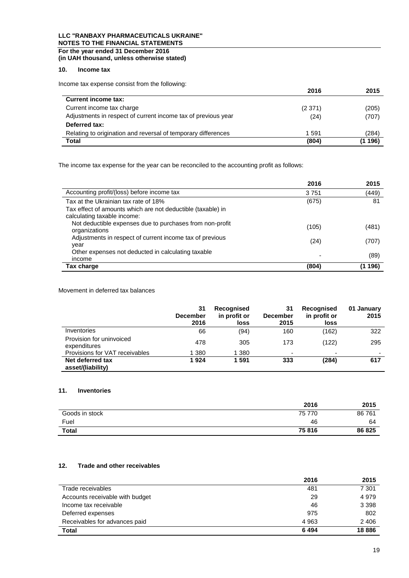**For the year ended 31 December 2016**

## **(in UAH thousand, unless otherwise stated)**

## <span id="page-18-0"></span>**10. Income tax**

Income tax expense consist from the following:

|                                                               | 2016   | 2015    |
|---------------------------------------------------------------|--------|---------|
| <b>Current income tax:</b>                                    |        |         |
| Current income tax charge                                     | (2371) | (205)   |
| Adjustments in respect of current income tax of previous year | (24)   | (707)   |
| Deferred tax:                                                 |        |         |
| Relating to origination and reversal of temporary differences | 1591   | (284)   |
| Total                                                         | (804)  | (1 196) |

The income tax expense for the year can be reconciled to the accounting profit as follows:

|                                                             | 2016  | 2015    |
|-------------------------------------------------------------|-------|---------|
| Accounting profit/(loss) before income tax                  | 3751  | (449)   |
| Tax at the Ukrainian tax rate of 18%                        | (675) | 81      |
| Tax effect of amounts which are not deductible (taxable) in |       |         |
| calculating taxable income:                                 |       |         |
| Not deductible expenses due to purchases from non-profit    | (105) | (481)   |
| organizations                                               |       |         |
| Adjustments in respect of current income tax of previous    | (24)  | (707)   |
| year                                                        |       |         |
| Other expenses not deducted in calculating taxable          |       | (89)    |
| income                                                      |       |         |
| Tax charge                                                  | (804) | (1 196) |

## Movement in deferred tax balances

|                                          | 31<br><b>December</b><br>2016 | Recognised<br>in profit or<br>loss | 31<br><b>December</b><br>2015 | Recognised<br>in profit or<br>loss | 01 January<br>2015 |
|------------------------------------------|-------------------------------|------------------------------------|-------------------------------|------------------------------------|--------------------|
| Inventories                              | 66                            | (94)                               | 160                           | (162)                              | 322                |
| Provision for uninvoiced<br>expenditures | 478                           | 305                                | 173                           | (122)                              | 295                |
| Provisions for VAT receivables           | 1 380                         | 1 380                              | ۰                             | $\overline{\phantom{0}}$           |                    |
| Net deferred tax<br>asset/(liability)    | 1924                          | 591                                | 333                           | (284)                              | 617                |

#### <span id="page-18-1"></span>**11. Inventories**

|                | 2016   | 2015   |
|----------------|--------|--------|
| Goods in stock | 75 770 | 86761  |
| Fuel           | 46     | 64     |
| <b>Total</b>   | 75816  | 86 825 |

## <span id="page-18-2"></span>**12. Trade and other receivables**

|                                 | 2016    | 2015    |
|---------------------------------|---------|---------|
| Trade receivables               | 481     | 7 3 0 1 |
| Accounts receivable with budget | 29      | 4979    |
| Income tax receivable           | 46      | 3 3 9 8 |
| Deferred expenses               | 975     | 802     |
| Receivables for advances paid   | 4 9 6 3 | 2 4 0 6 |
| <b>Total</b>                    | 6494    | 18886   |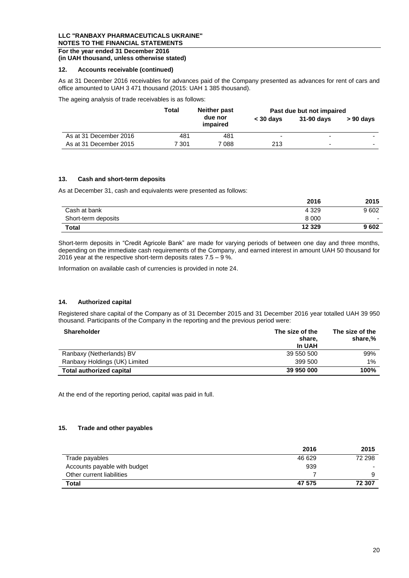## **For the year ended 31 December 2016**

**(in UAH thousand, unless otherwise stated)**

## **12. Accounts receivable (continued)**

As at 31 December 2016 receivables for advances paid of the Company presented as advances for rent of cars and office amounted to UAH 3 471 thousand (2015: UAH 1 385 thousand).

The ageing analysis of trade receivables is as follows:

|                        | Total | Neither past        | Past due but not impaired |                          |                          |
|------------------------|-------|---------------------|---------------------------|--------------------------|--------------------------|
|                        |       | due nor<br>impaired | $<$ 30 davs               | 31-90 days               | > 90 davs                |
| As at 31 December 2016 | 481   | 481                 | ۰                         | $\overline{\phantom{0}}$ |                          |
| As at 31 December 2015 | 7 301 | 7088                | 213                       | $\blacksquare$           | $\overline{\phantom{0}}$ |

## <span id="page-19-0"></span>**13. Cash and short-term deposits**

As at December 31, cash and equivalents were presented as follows:

|                     | 2016    | 2015   |
|---------------------|---------|--------|
| Cash at bank        | 4 3 2 9 | 9602   |
| Short-term deposits | 8 0 0 0 | $\sim$ |
| Total               | 12 3 29 | 9602   |

Short-term deposits in "Credit Agricole Bank" are made for varying periods of between one day and three months, depending on the immediate cash requirements of the Company, and earned interest in amount UAH 50 thousand for 2016 year at the respective short-term deposits rates 7.5 – 9 %.

Information on available cash of currencies is provided in note 24.

## <span id="page-19-1"></span>**14. Authorized capital**

Registered share capital of the Company as of 31 December 2015 and 31 December 2016 year totalled UAH 39 950 thousand. Participants of the Company in the reporting and the previous period were:

| <b>Shareholder</b>              | The size of the<br>share,<br><b>In UAH</b> | The size of the<br>share,% |
|---------------------------------|--------------------------------------------|----------------------------|
| Ranbaxy (Netherlands) BV        | 39 550 500                                 | 99%                        |
| Ranbaxy Holdings (UK) Limited   | 399 500                                    | $1\%$                      |
| <b>Total authorized capital</b> | 39 950 000                                 | 100%                       |

At the end of the reporting period, capital was paid in full.

## <span id="page-19-2"></span>**15. Trade and other payables**

|                              | 2016   | 2015   |
|------------------------------|--------|--------|
| Trade payables               | 46 629 | 72 298 |
| Accounts payable with budget | 939    |        |
| Other current liabilities    |        | 9      |
| <b>Total</b>                 | 47 575 | 72 307 |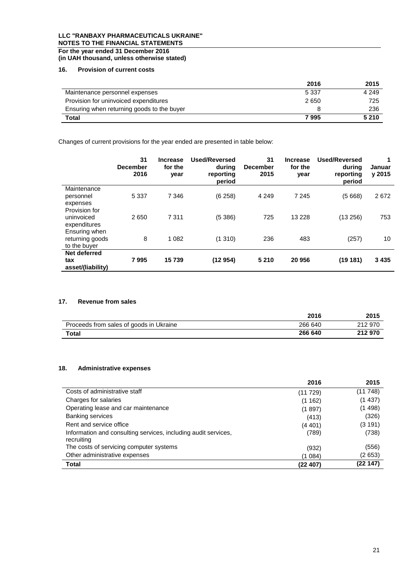**For the year ended 31 December 2016**

## **(in UAH thousand, unless otherwise stated)**

## <span id="page-20-0"></span>**16. Provision of current costs**

|                                            | 2016    | 2015    |
|--------------------------------------------|---------|---------|
| Maintenance personnel expenses             | 5 3 3 7 | 4 2 4 9 |
| Provision for uninvoiced expenditures      | 2650    | 725     |
| Ensuring when returning goods to the buyer | 8       | 236     |
| Total                                      | 7995    | 5 2 1 0 |

Changes of current provisions for the year ended are presented in table below:

|                                                       | 31<br><b>December</b><br>2016 | <b>Increase</b><br>for the<br>year | <b>Used/Reversed</b><br>during<br>reporting<br>period | 31<br><b>December</b><br>2015 | Increase<br>for the<br>year | Used/Reversed<br>during<br>reporting<br>period | Januar<br>v 2015 |
|-------------------------------------------------------|-------------------------------|------------------------------------|-------------------------------------------------------|-------------------------------|-----------------------------|------------------------------------------------|------------------|
| Maintenance<br>personnel<br>expenses<br>Provision for | 5 3 3 7                       | 7 3 4 6                            | (6258)                                                | 4 2 4 9                       | 7 2 4 5                     | (5668)                                         | 2672             |
| uninvoiced<br>expenditures<br>Ensuring when           | 2650                          | 7311                               | (5386)                                                | 725                           | 13 2 28                     | (13 256)                                       | 753              |
| returning goods<br>to the buyer                       | 8                             | 1 0 8 2                            | (1310)                                                | 236                           | 483                         | (257)                                          | 10               |
| Net deferred<br>tax<br>asset/(liability)              | 7995                          | 15739                              | (12954)                                               | 5 2 1 0                       | 20 956                      | (19 181)                                       | 3 4 3 5          |

## <span id="page-20-1"></span>**17. Revenue from sales**

|                                         | 2016    | 2015    |
|-----------------------------------------|---------|---------|
| Proceeds from sales of goods in Ukraine | 266 640 | 212 970 |
| Total                                   | 266 640 | 212 970 |

## <span id="page-20-2"></span>**18. Administrative expenses**

|                                                                              | 2016     | 2015     |
|------------------------------------------------------------------------------|----------|----------|
| Costs of administrative staff                                                | (11729)  | (11 748) |
| Charges for salaries                                                         | (1162)   | (1437)   |
| Operating lease and car maintenance                                          | (1897)   | (1498)   |
| <b>Banking services</b>                                                      | (413)    | (326)    |
| Rent and service office                                                      | (4401)   | (3191)   |
| Information and consulting services, including audit services,<br>recruiting | (789)    | (738)    |
| The costs of servicing computer systems                                      | (932)    | (556)    |
| Other administrative expenses                                                | (1 084)  | (2653)   |
| <b>Total</b>                                                                 | (22 407) | (22 147) |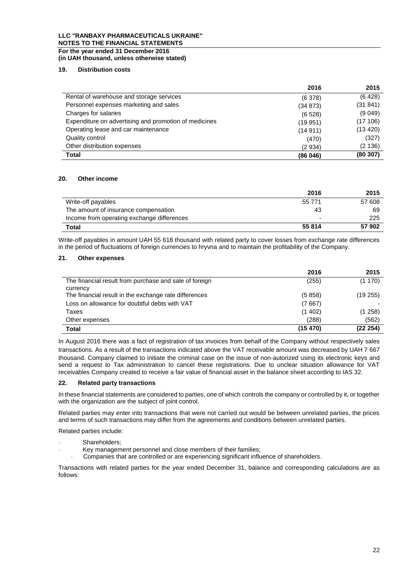**For the year ended 31 December 2016 (in UAH thousand, unless otherwise stated)**

## <span id="page-21-0"></span>**19. Distribution costs**

|                                                       | 2016    | 2015     |
|-------------------------------------------------------|---------|----------|
| Rental of warehouse and storage services              | (6378)  | (6428)   |
| Personnel expenses marketing and sales                | (34873) | (31841)  |
| Charges for salaries                                  | (6528)  | (9049)   |
| Expenditure on advertising and promotion of medicines | (19951) | (17106)  |
| Operating lease and car maintenance                   | (14911) | (13 420) |
| Quality control                                       | (470)   | (327)    |
| Other distribution expenses                           | (2934)  | (2136)   |
| <b>Total</b>                                          | (86046) | (80307)  |

## <span id="page-21-1"></span>**20. Other income**

|                                            | 2016                     | 2015   |
|--------------------------------------------|--------------------------|--------|
| Write-off payables                         | 55 7 7 1                 | 57 608 |
| The amount of insurance compensation       | 43                       | 69     |
| Income from operating exchange differences | $\overline{\phantom{0}}$ | 225    |
| <b>Total</b>                               | 55 814                   | 57 902 |

Write-off payables in amount UAH 55 618 thousand with related party to cover losses from exchange rate differences in the period of fluctuations of foreign currencies to hryvna and to maintain the profitability of the Company.

## <span id="page-21-2"></span>**21. Other expenses**

|                                                        | 2016     | 2015     |
|--------------------------------------------------------|----------|----------|
| The financial result from purchase and sale of foreign | (255)    | (1170)   |
| currency                                               |          |          |
| The financial result in the exchange rate differences  | (5858)   | (19255)  |
| Loss on allowance for doubtful debts with VAT          | (7667)   |          |
| Taxes                                                  | (1402)   | (1258)   |
| Other expenses                                         | (288)    | (562)    |
| Total                                                  | (15 470) | (22 254) |

In August 2016 there was a fact of registration of tax invoices from behalf of the Company without respectively sales transactions. As a result of the transactions indicated above the VAT receivable amount was decreased by UAH 7 667 thousand. Company claimed to initiate the criminal case on the issue of non-autorized using its electronic keys and send a request to Tax administration to cancel these registrations. Due to unclear situation allowance for VAT receivables Company created to receive a fair value of financial asset in the balance sheet according to IAS 32.

#### <span id="page-21-3"></span>**22. Related party transactions**

In these financial statements are considered to parties, one of which controls the company or controlled by it, or together with the organization are the subject of joint control.

Related parties may enter into transactions that were not carried out would be between unrelated parties, the prices and terms of such transactions may differ from the agreements and conditions between unrelated parties.

Related parties include:

- Shareholders;
- Key management personnel and close members of their families;
	- Companies that are controlled or are experiencing significant influence of shareholders.

Transactions with related parties for the year ended December 31, balance and corresponding calculations are as follows: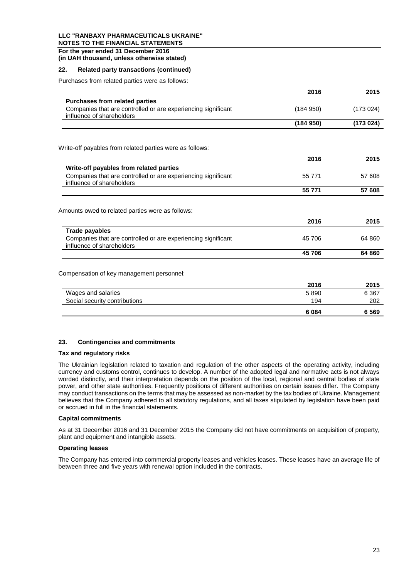## **For the year ended 31 December 2016**

# **(in UAH thousand, unless otherwise stated)**

## **22. Related party transactions (continued)**

Purchases from related parties were as follows:

|                                                                                            | 2016     | 2015     |
|--------------------------------------------------------------------------------------------|----------|----------|
| <b>Purchases from related parties</b>                                                      |          |          |
| Companies that are controlled or are experiencing significant<br>influence of shareholders | (184950) | (173024) |
|                                                                                            | (184950) | (173024) |
|                                                                                            |          |          |
| Write-off payables from related parties were as follows:                                   |          |          |
|                                                                                            | 2016     | 2015     |
| Write-off payables from related parties                                                    |          |          |
| Companies that are controlled or are experiencing significant<br>influence of shareholders | 55 7 7 1 | 57 608   |
|                                                                                            | 55 7 7 1 | 57 608   |
| Amounts owed to related parties were as follows:                                           | 2016     | 2015     |
| <b>Trade payables</b>                                                                      |          |          |
| Companies that are controlled or are experiencing significant<br>influence of shareholders | 45 706   | 64 860   |
|                                                                                            | 45 706   | 64 860   |
| Compensation of key management personnel:                                                  |          |          |
|                                                                                            | 2016     | 2015     |
| Wages and salaries                                                                         | 5890     | 6 3 6 7  |
| Social security contributions                                                              | 194      | 202      |
|                                                                                            | 6084     | 6569     |

## <span id="page-22-0"></span>**23. Contingencies and commitments**

## **Tax and regulatory risks**

The Ukrainian legislation related to taxation and regulation of the other aspects of the operating activity, including currency and customs control, continues to develop. A number of the adopted legal and normative acts is not always worded distinctly, and their interpretation depends on the position of the local, regional and central bodies of state power, and other state authorities. Frequently positions of different authorities on certain issues differ. The Company may conduct transactions on the terms that may be assessed as non-market by the tax bodies of Ukraine. Management believes that the Company adhered to all statutory regulations, and all taxes stipulated by legislation have been paid or accrued in full in the financial statements.

## **Capital commitments**

As at 31 December 2016 and 31 December 2015 the Company did not have commitments on acquisition of property, plant and equipment and intangible assets.

#### **Operating leases**

The Company has entered into commercial property leases and vehicles leases. These leases have an average life of between three and five years with renewal option included in the contracts.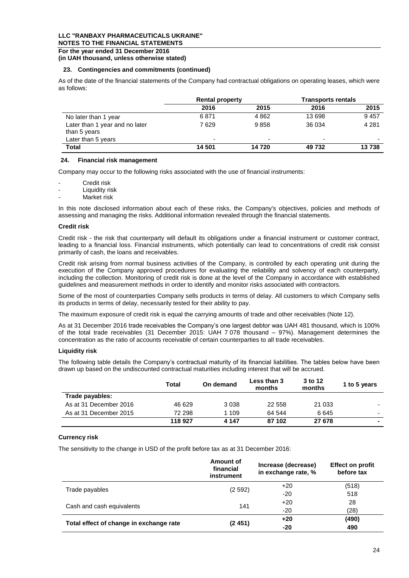## **For the year ended 31 December 2016**

**(in UAH thousand, unless otherwise stated)**

#### **23. Contingencies and commitments (continued)**

As of the date of the financial statements of the Company had contractual obligations on operating leases, which were as follows:

|                                | <b>Rental property</b>   |                          | <b>Transports rentals</b> |         |
|--------------------------------|--------------------------|--------------------------|---------------------------|---------|
|                                | 2016                     | 2015                     | 2016                      | 2015    |
| No later than 1 year           | 6871                     | 4 8 6 2                  | 13 698                    | 9457    |
| Later than 1 year and no later | 7629                     | 9858                     | 36 034                    | 4 2 8 1 |
| than 5 years                   |                          |                          |                           |         |
| Later than 5 years             | $\overline{\phantom{0}}$ | $\overline{\phantom{0}}$ | -                         |         |
| Total                          | 14 501                   | 14 720                   | 49 732                    | 13738   |

## <span id="page-23-0"></span>**24. Financial risk management**

Company may occur to the following risks associated with the use of financial instruments:

- Credit risk
- Liquidity risk
- Market risk

In this note disclosed information about each of these risks, the Company's objectives, policies and methods of assessing and managing the risks. Additional information revealed through the financial statements.

#### **Credit risk**

Credit risk - the risk that counterparty will default its obligations under a financial instrument or customer contract, leading to a financial loss. Financial instruments, which potentially can lead to concentrations of credit risk consist primarily of cash, the loans and receivables.

Credit risk arising from normal business activities of the Company, is controlled by each operating unit during the execution of the Company approved procedures for evaluating the reliability and solvency of each counterparty, including the collection. Monitoring of credit risk is done at the level of the Company in accordance with established guidelines and measurement methods in order to identify and monitor risks associated with contractors.

Some of the most of counterparties Company sells products in terms of delay. All customers to which Company sells its products in terms of delay, necessarily tested for their ability to pay.

The maximum exposure of credit risk is equal the carrying amounts of trade and other receivables (Note 12).

As at 31 December 2016 trade receivables the Company's one largest debtor was UAH 481 thousand, which is 100% of the total trade receivables (31 December 2015: UAH 7 078 thousand – 97%). Management determines the concentration as the ratio of accounts receivable of certain counterparties to all trade receivables.

#### **Liquidity risk**

The following table details the Company's contractual maturity of its financial liabilities. The tables below have been drawn up based on the undiscounted contractual maturities including interest that will be accrued.

|                        | Total   | On demand | Less than 3<br>months | 3 to 12<br>months | 1 to 5 years |
|------------------------|---------|-----------|-----------------------|-------------------|--------------|
| Trade payables:        |         |           |                       |                   |              |
| As at 31 December 2016 | 46 629  | 3038      | 22 5 5 8              | 21 0 33           |              |
| As at 31 December 2015 | 72 298  | 1 1 0 9   | 64 544                | 6 6 4 5           |              |
|                        | 118 927 | 4 147     | 87 102                | 27 678            |              |

## **Currency risk**

The sensitivity to the change in USD of the profit before tax as at 31 December 2016:

|                                         | Amount of<br>financial<br>instrument | Increase (decrease)<br>in exchange rate, % | <b>Effect on profit</b><br>before tax |
|-----------------------------------------|--------------------------------------|--------------------------------------------|---------------------------------------|
| Trade payables                          | (2592)                               | $+20$                                      | (518)                                 |
|                                         |                                      | $-20$                                      | 518                                   |
| Cash and cash equivalents               |                                      | $+20$                                      | 28                                    |
|                                         | 141                                  | $-20$                                      | (28)                                  |
|                                         |                                      | $+20$                                      | (490)                                 |
| Total effect of change in exchange rate | (2451)                               | -20                                        | 490                                   |